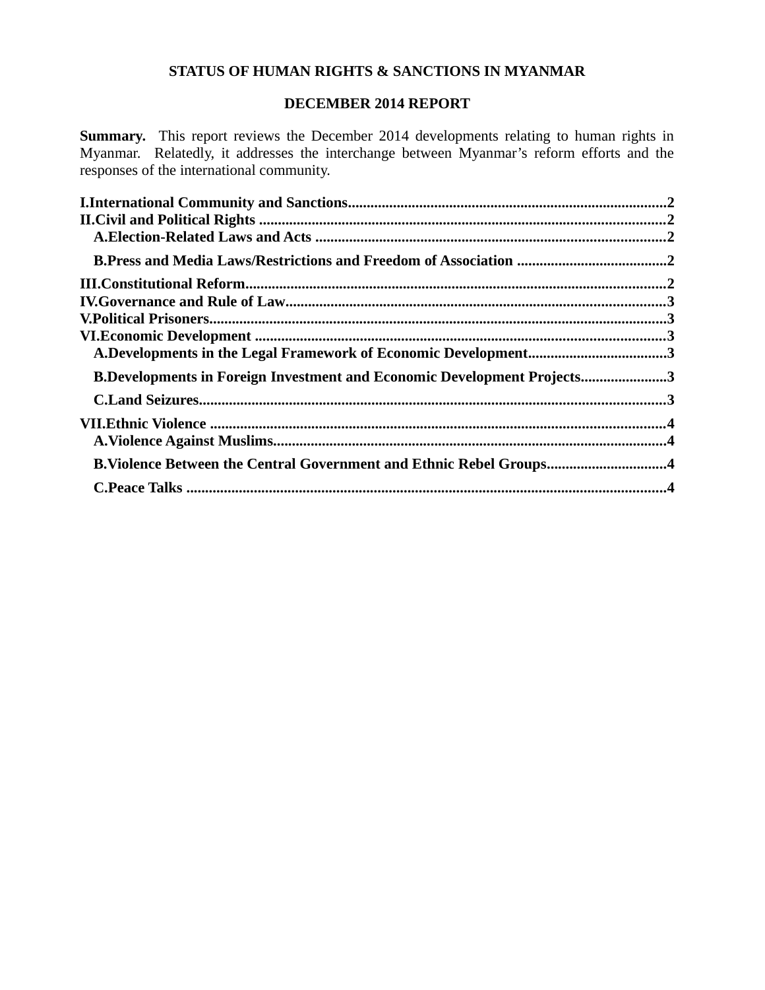# **STATUS OF HUMAN RIGHTS & SANCTIONS IN MYANMAR**

## **DECEMBER 2014 REPORT**

**Summary.** This report reviews the December 2014 developments relating to human rights in Myanmar. Relatedly, it addresses the interchange between Myanmar's reform efforts and the responses of the international community.

| A.Developments in the Legal Framework of Economic Development3            |  |
|---------------------------------------------------------------------------|--|
| B.Developments in Foreign Investment and Economic Development Projects3   |  |
|                                                                           |  |
|                                                                           |  |
|                                                                           |  |
| <b>B.Violence Between the Central Government and Ethnic Rebel Groups4</b> |  |
|                                                                           |  |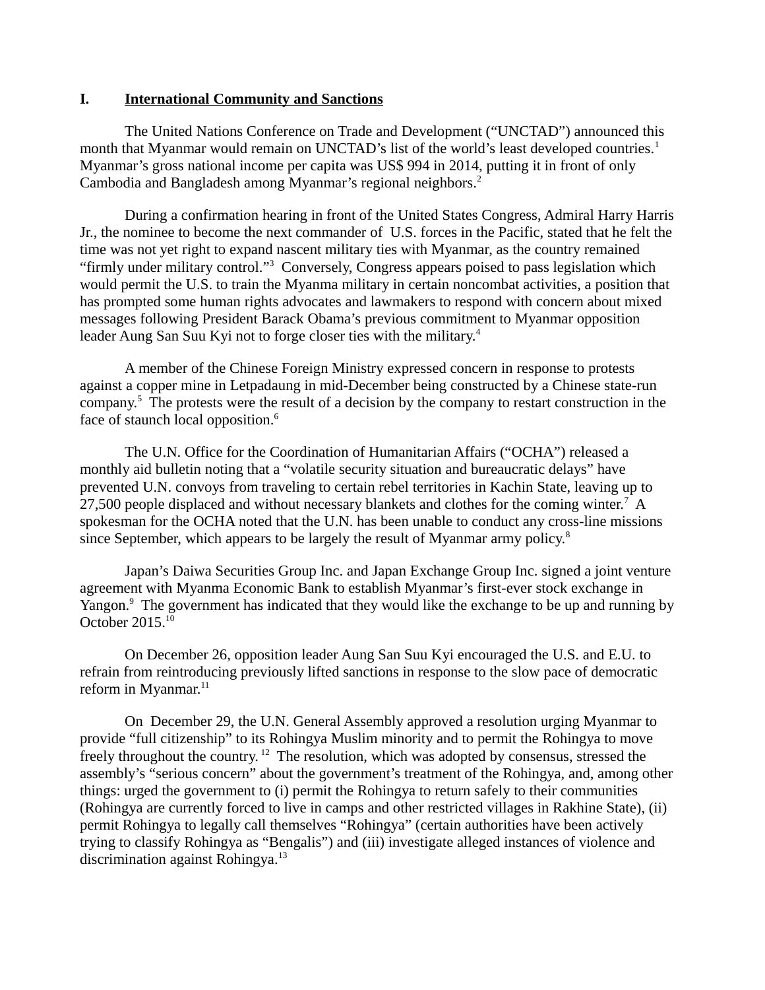#### <span id="page-1-0"></span>**I. International Community and Sanctions**

The United Nations Conference on Trade and Development ("UNCTAD") announced this month that Myanmar would remain on UNCTAD's list of the world's least developed countries.<sup>1</sup> Myanmar's gross national income per capita was US\$ 994 in 2014, putting it in front of only Cambodia and Bangladesh among Myanmar's regional neighbors.<sup>2</sup>

During a confirmation hearing in front of the United States Congress, Admiral Harry Harris Jr., the nominee to become the next commander of U.S. forces in the Pacific, stated that he felt the time was not yet right to expand nascent military ties with Myanmar, as the country remained "firmly under military control."<sup>3</sup> Conversely, Congress appears poised to pass legislation which would permit the U.S. to train the Myanma military in certain noncombat activities, a position that has prompted some human rights advocates and lawmakers to respond with concern about mixed messages following President Barack Obama's previous commitment to Myanmar opposition leader Aung San Suu Kyi not to forge closer ties with the military.<sup>4</sup>

A member of the Chinese Foreign Ministry expressed concern in response to protests against a copper mine in Letpadaung in mid-December being constructed by a Chinese state-run company.<sup>5</sup> The protests were the result of a decision by the company to restart construction in the face of staunch local opposition.<sup>6</sup>

The U.N. Office for the Coordination of Humanitarian Affairs ("OCHA") released a monthly aid bulletin noting that a "volatile security situation and bureaucratic delays" have prevented U.N. convoys from traveling to certain rebel territories in Kachin State, leaving up to 27,500 people displaced and without necessary blankets and clothes for the coming winter.<sup>7</sup> A spokesman for the OCHA noted that the U.N. has been unable to conduct any cross-line missions since September, which appears to be largely the result of Myanmar army policy.<sup>8</sup>

Japan's Daiwa Securities Group Inc. and Japan Exchange Group Inc. signed a joint venture agreement with Myanma Economic Bank to establish Myanmar's first-ever stock exchange in Yangon.<sup>9</sup> The government has indicated that they would like the exchange to be up and running by October  $2015.<sup>10</sup>$ 

On December 26, opposition leader Aung San Suu Kyi encouraged the U.S. and E.U. to refrain from reintroducing previously lifted sanctions in response to the slow pace of democratic reform in Myanmar. $11$ 

On December 29, the U.N. General Assembly approved a resolution urging Myanmar to provide "full citizenship" to its Rohingya Muslim minority and to permit the Rohingya to move freely throughout the country.<sup>12</sup> The resolution, which was adopted by consensus, stressed the assembly's "serious concern" about the government's treatment of the Rohingya, and, among other things: urged the government to (i) permit the Rohingya to return safely to their communities (Rohingya are currently forced to live in camps and other restricted villages in Rakhine State), (ii) permit Rohingya to legally call themselves "Rohingya" (certain authorities have been actively trying to classify Rohingya as "Bengalis") and (iii) investigate alleged instances of violence and discrimination against Rohingya.<sup>13</sup>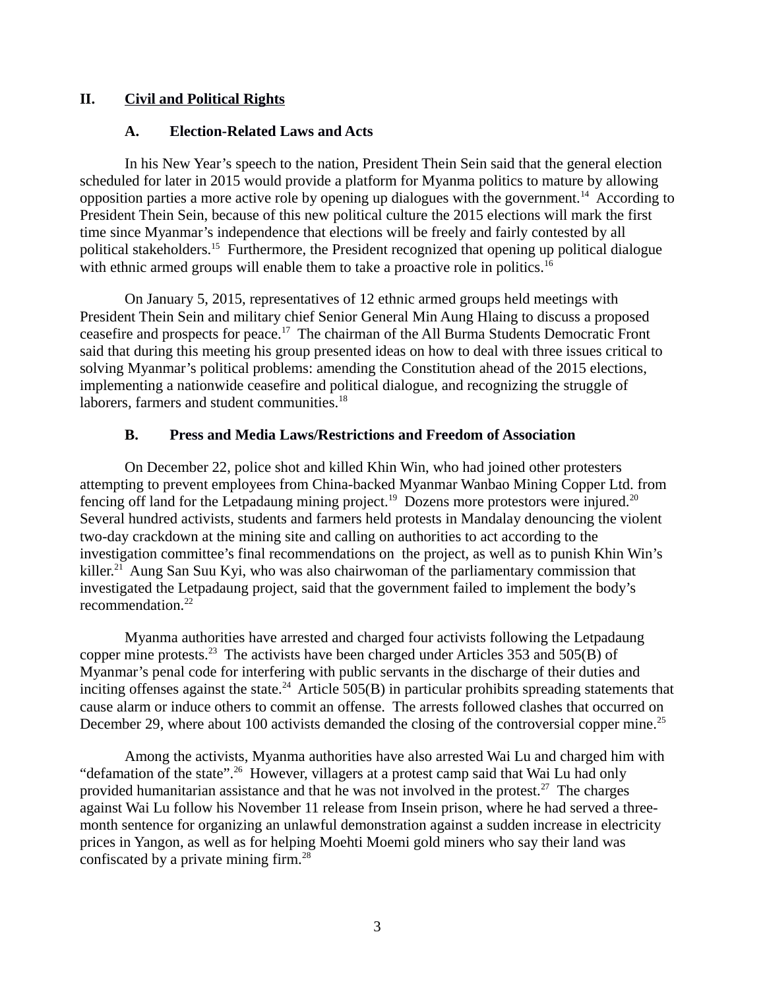# **II. Civil and Political Rights**

### <span id="page-2-2"></span><span id="page-2-1"></span>**A. Election-Related Laws and Acts**

In his New Year's speech to the nation, President Thein Sein said that the general election scheduled for later in 2015 would provide a platform for Myanma politics to mature by allowing opposition parties a more active role by opening up dialogues with the government.<sup>14</sup> According to President Thein Sein, because of this new political culture the 2015 elections will mark the first time since Myanmar's independence that elections will be freely and fairly contested by all political stakeholders.<sup>15</sup> Furthermore, the President recognized that opening up political dialogue with ethnic armed groups will enable them to take a proactive role in politics.<sup>16</sup>

On January 5, 2015, representatives of 12 ethnic armed groups held meetings with President Thein Sein and military chief Senior General Min Aung Hlaing to discuss a proposed ceasefire and prospects for peace.<sup>17</sup> The chairman of the All Burma Students Democratic Front said that during this meeting his group presented ideas on how to deal with three issues critical to solving Myanmar's political problems: amending the Constitution ahead of the 2015 elections, implementing a nationwide ceasefire and political dialogue, and recognizing the struggle of laborers, farmers and student communities.<sup>18</sup>

# <span id="page-2-0"></span>**B. Press and Media Laws/Restrictions and Freedom of Association**

On December 22, police shot and killed Khin Win, who had joined other protesters attempting to prevent employees from China-backed Myanmar Wanbao Mining Copper Ltd. from fencing off land for the Letpadaung mining project.<sup>19</sup> Dozens more protestors were injured.<sup>20</sup> Several hundred activists, students and farmers held protests in Mandalay denouncing the violent two-day crackdown at the mining site and calling on authorities to act according to the investigation committee's final recommendations on the project, as well as to punish Khin Win's killer.<sup>21</sup> Aung San Suu Kyi, who was also chairwoman of the parliamentary commission that investigated the Letpadaung project, said that the government failed to implement the body's recommendation.<sup>22</sup>

Myanma authorities have arrested and charged four activists following the Letpadaung copper mine protests.<sup>23</sup> The activists have been charged under Articles 353 and 505(B) of Myanmar's penal code for interfering with public servants in the discharge of their duties and inciting offenses against the state.<sup>24</sup> Article 505(B) in particular prohibits spreading statements that cause alarm or induce others to commit an offense. The arrests followed clashes that occurred on December 29, where about 100 activists demanded the closing of the controversial copper mine.<sup>25</sup>

Among the activists, Myanma authorities have also arrested Wai Lu and charged him with "defamation of the state".<sup>26</sup> However, villagers at a protest camp said that Wai Lu had only provided humanitarian assistance and that he was not involved in the protest.<sup>27</sup> The charges against Wai Lu follow his November 11 release from Insein prison, where he had served a threemonth sentence for organizing an unlawful demonstration against a sudden increase in electricity prices in Yangon, as well as for helping Moehti Moemi gold miners who say their land was confiscated by a private mining firm.<sup>28</sup>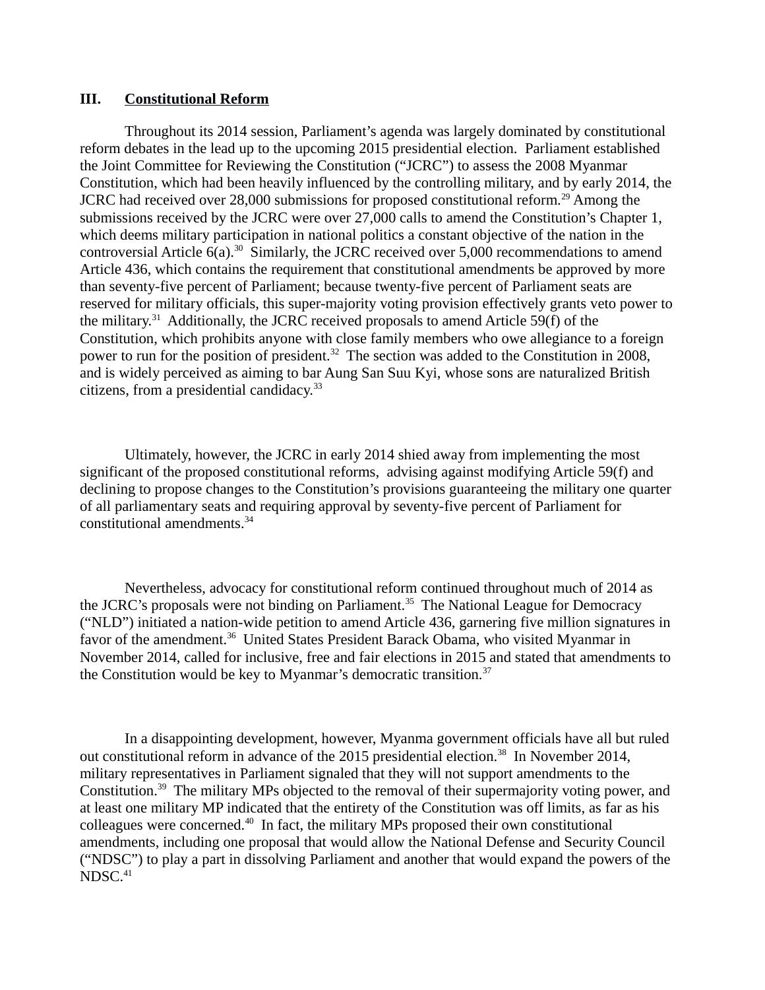#### <span id="page-3-0"></span>**III. Constitutional Reform**

Throughout its 2014 session, Parliament's agenda was largely dominated by constitutional reform debates in the lead up to the upcoming 2015 presidential election. Parliament established the Joint Committee for Reviewing the Constitution ("JCRC") to assess the 2008 Myanmar Constitution, which had been heavily influenced by the controlling military, and by early 2014, the JCRC had received over 28,000 submissions for proposed constitutional reform.<sup>29</sup> Among the submissions received by the JCRC were over 27,000 calls to amend the Constitution's Chapter 1, which deems military participation in national politics a constant objective of the nation in the controversial Article  $6(a)$ .<sup>30</sup> Similarly, the JCRC received over 5,000 recommendations to amend Article 436, which contains the requirement that constitutional amendments be approved by more than seventy-five percent of Parliament; because twenty-five percent of Parliament seats are reserved for military officials, this super-majority voting provision effectively grants veto power to the military.<sup>31</sup> Additionally, the JCRC received proposals to amend Article 59(f) of the Constitution, which prohibits anyone with close family members who owe allegiance to a foreign power to run for the position of president.<sup>32</sup> The section was added to the Constitution in 2008, and is widely perceived as aiming to bar Aung San Suu Kyi, whose sons are naturalized British citizens, from a presidential candidacy.<sup>33</sup>

Ultimately, however, the JCRC in early 2014 shied away from implementing the most significant of the proposed constitutional reforms, advising against modifying Article 59(f) and declining to propose changes to the Constitution's provisions guaranteeing the military one quarter of all parliamentary seats and requiring approval by seventy-five percent of Parliament for constitutional amendments.<sup>34</sup>

Nevertheless, advocacy for constitutional reform continued throughout much of 2014 as the JCRC's proposals were not binding on Parliament.<sup>35</sup> The National League for Democracy ("NLD") initiated a nation-wide petition to amend Article 436, garnering five million signatures in favor of the amendment.<sup>36</sup> United States President Barack Obama, who visited Myanmar in November 2014, called for inclusive, free and fair elections in 2015 and stated that amendments to the Constitution would be key to Myanmar's democratic transition.<sup>37</sup>

In a disappointing development, however, Myanma government officials have all but ruled out constitutional reform in advance of the 2015 presidential election.<sup>38</sup> In November 2014, military representatives in Parliament signaled that they will not support amendments to the Constitution.<sup>39</sup> The military MPs objected to the removal of their supermajority voting power, and at least one military MP indicated that the entirety of the Constitution was off limits, as far as his colleagues were concerned.<sup>40</sup> In fact, the military MPs proposed their own constitutional amendments, including one proposal that would allow the National Defense and Security Council ("NDSC") to play a part in dissolving Parliament and another that would expand the powers of the NDSC.<sup>41</sup>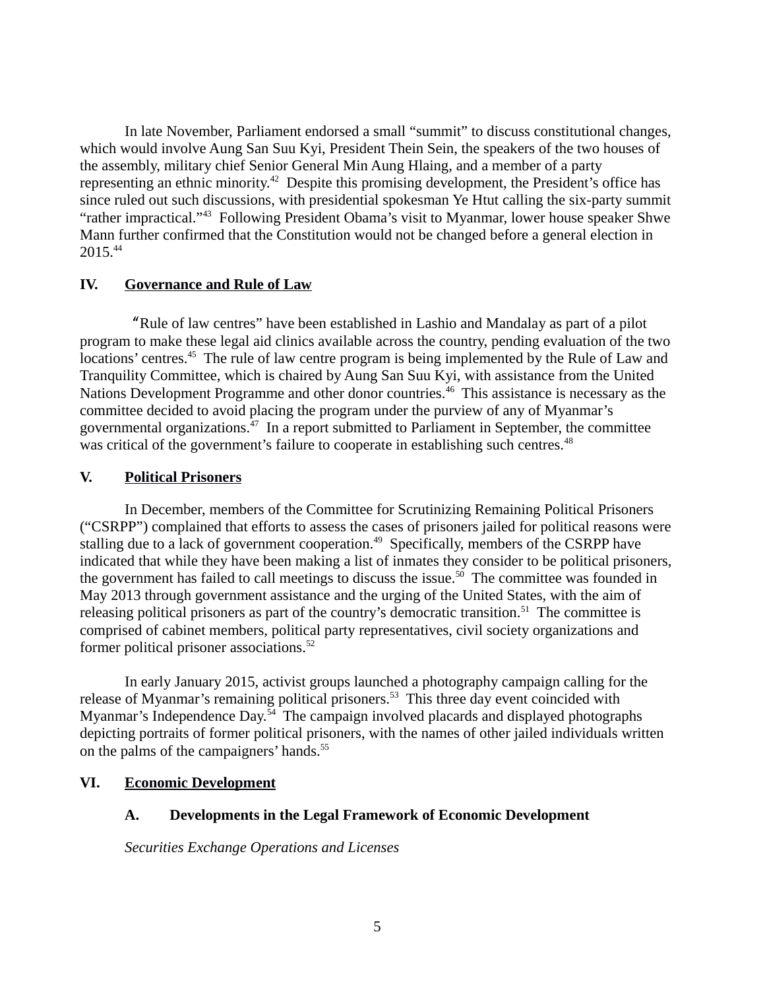In late November, Parliament endorsed a small "summit" to discuss constitutional changes, which would involve Aung San Suu Kyi, President Thein Sein, the speakers of the two houses of the assembly, military chief Senior General Min Aung Hlaing, and a member of a party representing an ethnic minority.<sup>42</sup> Despite this promising development, the President's office has since ruled out such discussions, with presidential spokesman Ye Htut calling the six-party summit "rather impractical."<sup>43</sup> Following President Obama's visit to Myanmar, lower house speaker Shwe Mann further confirmed that the Constitution would not be changed before a general election in 2015.<sup>44</sup>

# <span id="page-4-3"></span>**IV. Governance and Rule of Law**

"Rule of law centres" have been established in Lashio and Mandalay as part of a pilot program to make these legal aid clinics available across the country, pending evaluation of the two locations' centres.<sup>45</sup> The rule of law centre program is being implemented by the Rule of Law and Tranquility Committee, which is chaired by Aung San Suu Kyi, with assistance from the United Nations Development Programme and other donor countries.<sup>46</sup> This assistance is necessary as the committee decided to avoid placing the program under the purview of any of Myanmar's governmental organizations.<sup>47</sup> In a report submitted to Parliament in September, the committee was critical of the government's failure to cooperate in establishing such centres.<sup>48</sup>

# <span id="page-4-2"></span>**V. Political Prisoners**

In December, members of the Committee for Scrutinizing Remaining Political Prisoners ("CSRPP") complained that efforts to assess the cases of prisoners jailed for political reasons were stalling due to a lack of government cooperation.<sup>49</sup> Specifically, members of the CSRPP have indicated that while they have been making a list of inmates they consider to be political prisoners, the government has failed to call meetings to discuss the issue.<sup>50</sup> The committee was founded in May 2013 through government assistance and the urging of the United States, with the aim of releasing political prisoners as part of the country's democratic transition.<sup>51</sup> The committee is comprised of cabinet members, political party representatives, civil society organizations and former political prisoner associations.<sup>52</sup>

In early January 2015, activist groups launched a photography campaign calling for the release of Myanmar's remaining political prisoners.<sup>53</sup> This three day event coincided with Myanmar's Independence Day.<sup>54</sup> The campaign involved placards and displayed photographs depicting portraits of former political prisoners, with the names of other jailed individuals written on the palms of the campaigners' hands.<sup>55</sup>

# **VI. Economic Development**

# <span id="page-4-1"></span><span id="page-4-0"></span>**A. Developments in the Legal Framework of Economic Development**

*Securities Exchange Operations and Licenses*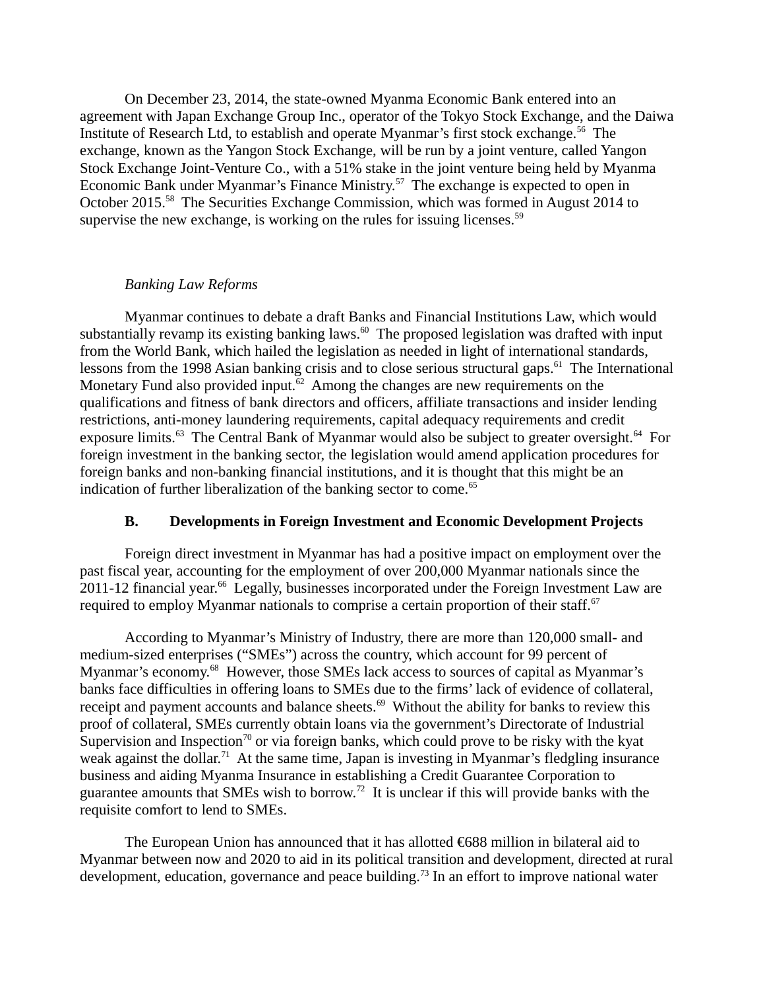On December 23, 2014, the state-owned Myanma Economic Bank entered into an agreement with Japan Exchange Group Inc., operator of the Tokyo Stock Exchange, and the Daiwa Institute of Research Ltd, to establish and operate Myanmar's first stock exchange.<sup>56</sup> The exchange, known as the Yangon Stock Exchange, will be run by a joint venture, called Yangon Stock Exchange Joint-Venture Co., with a 51% stake in the joint venture being held by Myanma Economic Bank under Myanmar's Finance Ministry.<sup>57</sup> The exchange is expected to open in October 2015.<sup>58</sup> The Securities Exchange Commission, which was formed in August 2014 to supervise the new exchange, is working on the rules for issuing licenses.<sup>59</sup>

## *Banking Law Reforms*

Myanmar continues to debate a draft Banks and Financial Institutions Law, which would substantially revamp its existing banking laws.<sup>60</sup> The proposed legislation was drafted with input from the World Bank, which hailed the legislation as needed in light of international standards, lessons from the 1998 Asian banking crisis and to close serious structural gaps.<sup>61</sup> The International Monetary Fund also provided input.<sup>62</sup> Among the changes are new requirements on the qualifications and fitness of bank directors and officers, affiliate transactions and insider lending restrictions, anti-money laundering requirements, capital adequacy requirements and credit exposure limits.<sup>63</sup> The Central Bank of Myanmar would also be subject to greater oversight.<sup>64</sup> For foreign investment in the banking sector, the legislation would amend application procedures for foreign banks and non-banking financial institutions, and it is thought that this might be an indication of further liberalization of the banking sector to come.<sup>65</sup>

### <span id="page-5-0"></span>**B. Developments in Foreign Investment and Economic Development Projects**

Foreign direct investment in Myanmar has had a positive impact on employment over the past fiscal year, accounting for the employment of over 200,000 Myanmar nationals since the  $2011$ -12 financial year.<sup>66</sup> Legally, businesses incorporated under the Foreign Investment Law are required to employ Myanmar nationals to comprise a certain proportion of their staff. $67$ 

According to Myanmar's Ministry of Industry, there are more than 120,000 small- and medium-sized enterprises ("SMEs") across the country, which account for 99 percent of Myanmar's economy.<sup>68</sup> However, those SMEs lack access to sources of capital as Myanmar's banks face difficulties in offering loans to SMEs due to the firms' lack of evidence of collateral, receipt and payment accounts and balance sheets.<sup>69</sup> Without the ability for banks to review this proof of collateral, SMEs currently obtain loans via the government's Directorate of Industrial Supervision and Inspection<sup>70</sup> or via foreign banks, which could prove to be risky with the kyat weak against the dollar.<sup>71</sup> At the same time, Japan is investing in Myanmar's fledgling insurance business and aiding Myanma Insurance in establishing a Credit Guarantee Corporation to guarantee amounts that SMEs wish to borrow.<sup>72</sup> It is unclear if this will provide banks with the requisite comfort to lend to SMEs.

The European Union has announced that it has allotted €688 million in bilateral aid to Myanmar between now and 2020 to aid in its political transition and development, directed at rural development, education, governance and peace building.<sup>73</sup> In an effort to improve national water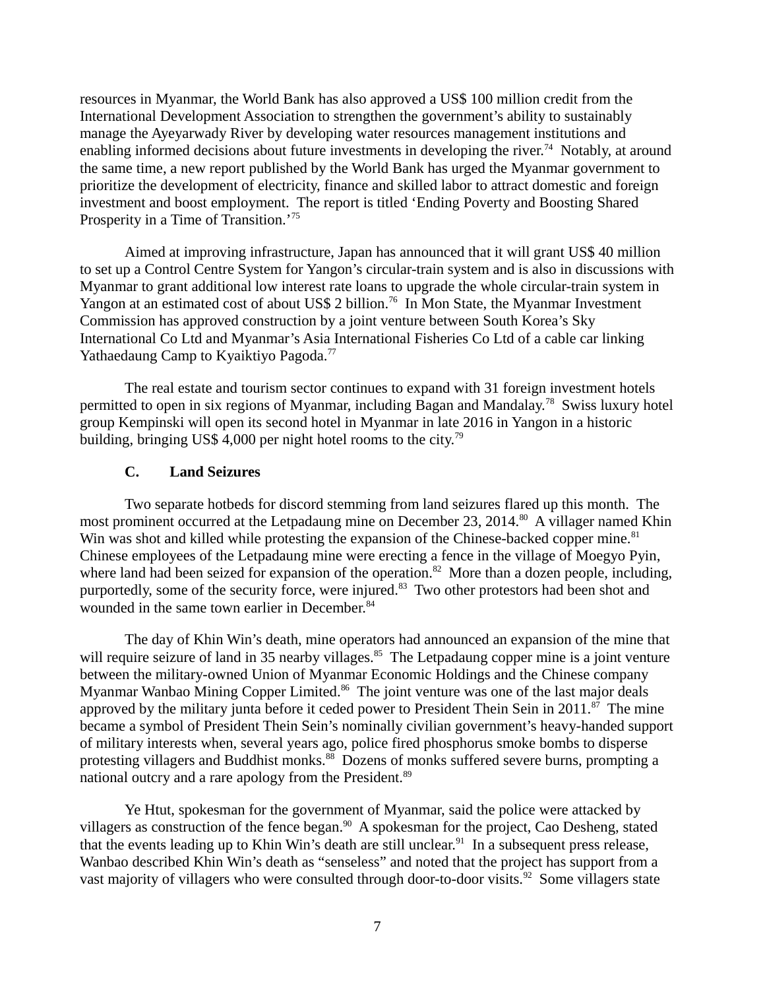resources in Myanmar, the World Bank has also approved a US\$ 100 million credit from the International Development Association to strengthen the government's ability to sustainably manage the Ayeyarwady River by developing water resources management institutions and enabling informed decisions about future investments in developing the river.<sup>74</sup> Notably, at around the same time, a new report published by the World Bank has urged the Myanmar government to prioritize the development of electricity, finance and skilled labor to attract domestic and foreign investment and boost employment. The report is titled 'Ending Poverty and Boosting Shared Prosperity in a Time of Transition.<sup>'75</sup>

Aimed at improving infrastructure, Japan has announced that it will grant US\$ 40 million to set up a Control Centre System for Yangon's circular-train system and is also in discussions with Myanmar to grant additional low interest rate loans to upgrade the whole circular-train system in Yangon at an estimated cost of about US\$ 2 billion.<sup>76</sup> In Mon State, the Myanmar Investment Commission has approved construction by a joint venture between South Korea's Sky International Co Ltd and Myanmar's Asia International Fisheries Co Ltd of a cable car linking Yathaedaung Camp to Kyaiktiyo Pagoda.<sup>77</sup>

The real estate and tourism sector continues to expand with 31 foreign investment hotels permitted to open in six regions of Myanmar, including Bagan and Mandalay.<sup>78</sup> Swiss luxury hotel group Kempinski will open its second hotel in Myanmar in late 2016 in Yangon in a historic building, bringing US\$ 4,000 per night hotel rooms to the city.<sup>79</sup>

### <span id="page-6-0"></span>**C. Land Seizures**

Two separate hotbeds for discord stemming from land seizures flared up this month. The most prominent occurred at the Letpadaung mine on December 23, 2014.<sup>80</sup> A villager named Khin Win was shot and killed while protesting the expansion of the Chinese-backed copper mine.<sup>81</sup> Chinese employees of the Letpadaung mine were erecting a fence in the village of Moegyo Pyin, where land had been seized for expansion of the operation.<sup>82</sup> More than a dozen people, including, purportedly, some of the security force, were injured.<sup>83</sup> Two other protestors had been shot and wounded in the same town earlier in December.<sup>84</sup>

The day of Khin Win's death, mine operators had announced an expansion of the mine that will require seizure of land in 35 nearby villages.<sup>85</sup> The Letpadaung copper mine is a joint venture between the military-owned Union of Myanmar Economic Holdings and the Chinese company Myanmar Wanbao Mining Copper Limited.<sup>86</sup> The joint venture was one of the last major deals approved by the military junta before it ceded power to President Thein Sein in 2011.<sup>87</sup> The mine became a symbol of President Thein Sein's nominally civilian government's heavy-handed support of military interests when, several years ago, police fired phosphorus smoke bombs to disperse protesting villagers and Buddhist monks.<sup>88</sup> Dozens of monks suffered severe burns, prompting a national outcry and a rare apology from the President.<sup>89</sup>

Ye Htut, spokesman for the government of Myanmar, said the police were attacked by villagers as construction of the fence began.<sup>90</sup> A spokesman for the project, Cao Desheng, stated that the events leading up to Khin Win's death are still unclear.<sup>91</sup> In a subsequent press release, Wanbao described Khin Win's death as "senseless" and noted that the project has support from a vast majority of villagers who were consulted through door-to-door visits.<sup>92</sup> Some villagers state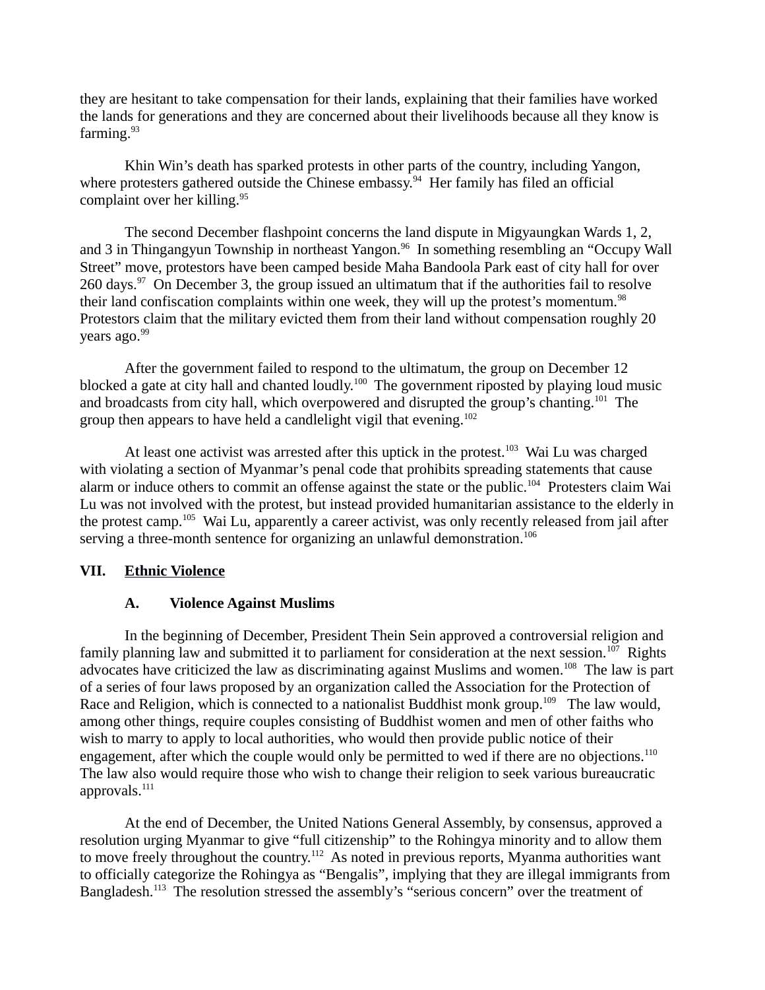they are hesitant to take compensation for their lands, explaining that their families have worked the lands for generations and they are concerned about their livelihoods because all they know is farming. $93$ 

Khin Win's death has sparked protests in other parts of the country, including Yangon, where protesters gathered outside the Chinese embassy.<sup>94</sup> Her family has filed an official complaint over her killing. $95$ 

The second December flashpoint concerns the land dispute in Migyaungkan Wards 1, 2, and 3 in Thingangyun Township in northeast Yangon.<sup>96</sup> In something resembling an "Occupy Wall Street" move, protestors have been camped beside Maha Bandoola Park east of city hall for over 260 days. $97$  On December 3, the group issued an ultimatum that if the authorities fail to resolve their land confiscation complaints within one week, they will up the protest's momentum.<sup>98</sup> Protestors claim that the military evicted them from their land without compensation roughly 20 vears ago.<sup>99</sup>

After the government failed to respond to the ultimatum, the group on December 12 blocked a gate at city hall and chanted loudly.<sup>100</sup> The government riposted by playing loud music and broadcasts from city hall, which overpowered and disrupted the group's chanting.<sup>101</sup> The group then appears to have held a candlelight vigil that evening.<sup>102</sup>

At least one activist was arrested after this uptick in the protest.<sup>103</sup> Wai Lu was charged with violating a section of Myanmar's penal code that prohibits spreading statements that cause alarm or induce others to commit an offense against the state or the public.<sup>104</sup> Protesters claim Wai Lu was not involved with the protest, but instead provided humanitarian assistance to the elderly in the protest camp.<sup>105</sup> Wai Lu, apparently a career activist, was only recently released from jail after serving a three-month sentence for organizing an unlawful demonstration.<sup>106</sup>

### **VII. Ethnic Violence**

#### <span id="page-7-1"></span><span id="page-7-0"></span>**A. Violence Against Muslims**

In the beginning of December, President Thein Sein approved a controversial religion and family planning law and submitted it to parliament for consideration at the next session.<sup>107</sup> Rights advocates have criticized the law as discriminating against Muslims and women.<sup>108</sup> The law is part of a series of four laws proposed by an organization called the Association for the Protection of Race and Religion, which is connected to a nationalist Buddhist monk group.<sup>109</sup> The law would, among other things, require couples consisting of Buddhist women and men of other faiths who wish to marry to apply to local authorities, who would then provide public notice of their engagement, after which the couple would only be permitted to wed if there are no objections.<sup>110</sup> The law also would require those who wish to change their religion to seek various bureaucratic approvals.<sup>111</sup>

At the end of December, the United Nations General Assembly, by consensus, approved a resolution urging Myanmar to give "full citizenship" to the Rohingya minority and to allow them to move freely throughout the country.<sup>112</sup> As noted in previous reports, Myanma authorities want to officially categorize the Rohingya as "Bengalis", implying that they are illegal immigrants from Bangladesh.<sup>113</sup> The resolution stressed the assembly's "serious concern" over the treatment of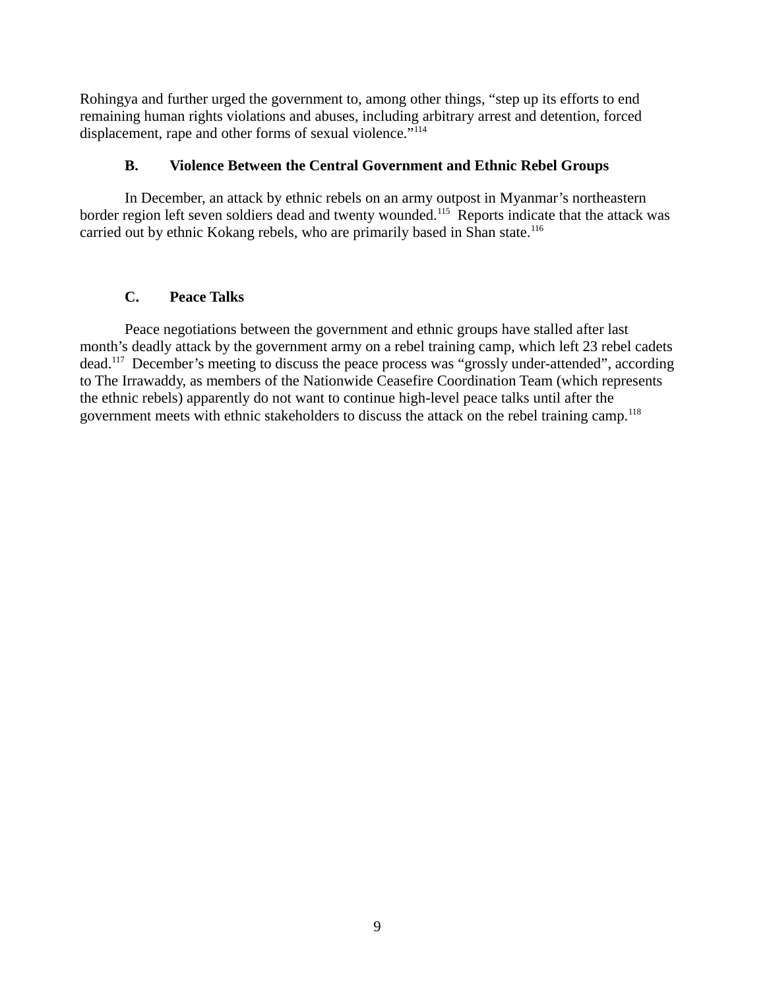Rohingya and further urged the government to, among other things, "step up its efforts to end remaining human rights violations and abuses, including arbitrary arrest and detention, forced displacement, rape and other forms of sexual violence."<sup>114</sup>

# <span id="page-8-1"></span>**B. Violence Between the Central Government and Ethnic Rebel Groups**

In December, an attack by ethnic rebels on an army outpost in Myanmar's northeastern border region left seven soldiers dead and twenty wounded.<sup>115</sup> Reports indicate that the attack was carried out by ethnic Kokang rebels, who are primarily based in Shan state.<sup>116</sup>

# <span id="page-8-0"></span>**C. Peace Talks**

Peace negotiations between the government and ethnic groups have stalled after last month's deadly attack by the government army on a rebel training camp, which left 23 rebel cadets dead.<sup>117</sup> December's meeting to discuss the peace process was "grossly under-attended", according to The Irrawaddy, as members of the Nationwide Ceasefire Coordination Team (which represents the ethnic rebels) apparently do not want to continue high-level peace talks until after the government meets with ethnic stakeholders to discuss the attack on the rebel training camp.<sup>118</sup>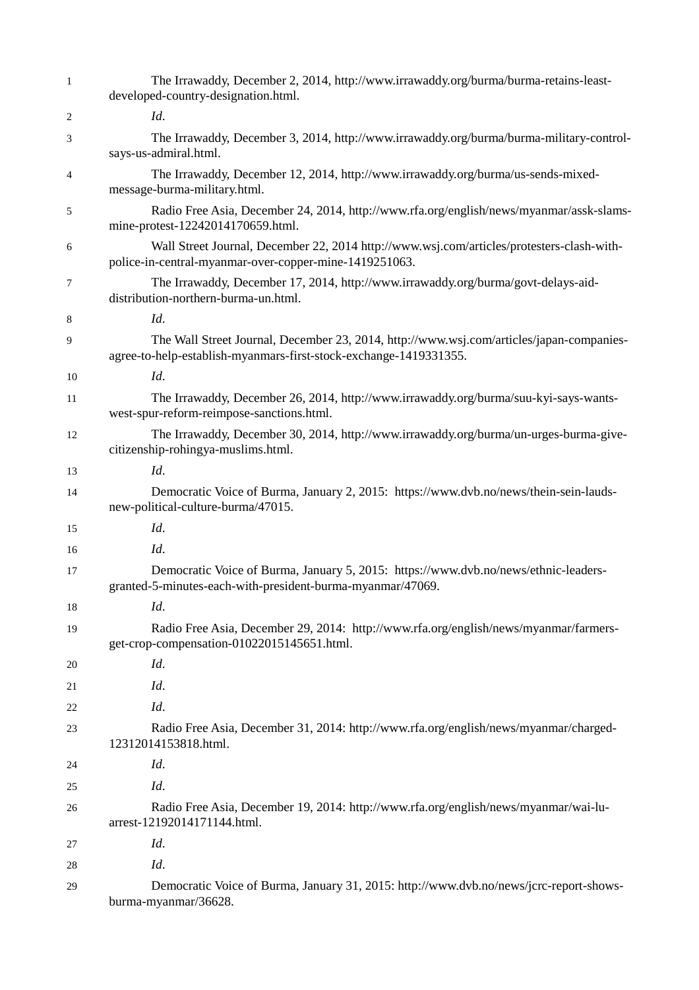| $\mathbf{1}$ | The Irrawaddy, December 2, 2014, http://www.irrawaddy.org/burma/burma-retains-least-<br>developed-country-designation.html.                                   |
|--------------|---------------------------------------------------------------------------------------------------------------------------------------------------------------|
| 2            | Id.                                                                                                                                                           |
| 3            | The Irrawaddy, December 3, 2014, http://www.irrawaddy.org/burma/burma-military-control-<br>says-us-admiral.html.                                              |
| 4            | The Irrawaddy, December 12, 2014, http://www.irrawaddy.org/burma/us-sends-mixed-<br>message-burma-military.html.                                              |
| 5            | Radio Free Asia, December 24, 2014, http://www.rfa.org/english/news/myanmar/assk-slams-<br>mine-protest-12242014170659.html.                                  |
| 6            | Wall Street Journal, December 22, 2014 http://www.wsj.com/articles/protesters-clash-with-<br>police-in-central-myanmar-over-copper-mine-1419251063.           |
| 7            | The Irrawaddy, December 17, 2014, http://www.irrawaddy.org/burma/govt-delays-aid-<br>distribution-northern-burma-un.html.                                     |
| 8            | Id.                                                                                                                                                           |
| 9            | The Wall Street Journal, December 23, 2014, http://www.wsj.com/articles/japan-companies-<br>agree-to-help-establish-myanmars-first-stock-exchange-1419331355. |
| 10           | Id.                                                                                                                                                           |
| 11           | The Irrawaddy, December 26, 2014, http://www.irrawaddy.org/burma/suu-kyi-says-wants-<br>west-spur-reform-reimpose-sanctions.html.                             |
| 12           | The Irrawaddy, December 30, 2014, http://www.irrawaddy.org/burma/un-urges-burma-give-<br>citizenship-rohingya-muslims.html.                                   |
| 13           | Id.                                                                                                                                                           |
| 14           | Democratic Voice of Burma, January 2, 2015: https://www.dvb.no/news/thein-sein-lauds-<br>new-political-culture-burma/47015.                                   |
| 15           | Id.                                                                                                                                                           |
| 16           | Id.                                                                                                                                                           |
| 17           | Democratic Voice of Burma, January 5, 2015: https://www.dvb.no/news/ethnic-leaders-<br>granted-5-minutes-each-with-president-burma-myanmar/47069.             |
| 18           | Id.                                                                                                                                                           |
| 19           | Radio Free Asia, December 29, 2014: http://www.rfa.org/english/news/myanmar/farmers-<br>get-crop-compensation-01022015145651.html.                            |
| 20           | Id.                                                                                                                                                           |
| 21           | Id.                                                                                                                                                           |
| 22           | Id.                                                                                                                                                           |
| 23           | Radio Free Asia, December 31, 2014: http://www.rfa.org/english/news/myanmar/charged-<br>12312014153818.html.                                                  |
| 24           | Id.                                                                                                                                                           |
| 25           | Id.                                                                                                                                                           |
| 26           | Radio Free Asia, December 19, 2014: http://www.rfa.org/english/news/myanmar/wai-lu-<br>arrest-12192014171144.html.                                            |
| 27           | Id.                                                                                                                                                           |
| 28           | Id.                                                                                                                                                           |
| 29           | Democratic Voice of Burma, January 31, 2015: http://www.dvb.no/news/jcrc-report-shows-<br>burma-myanmar/36628.                                                |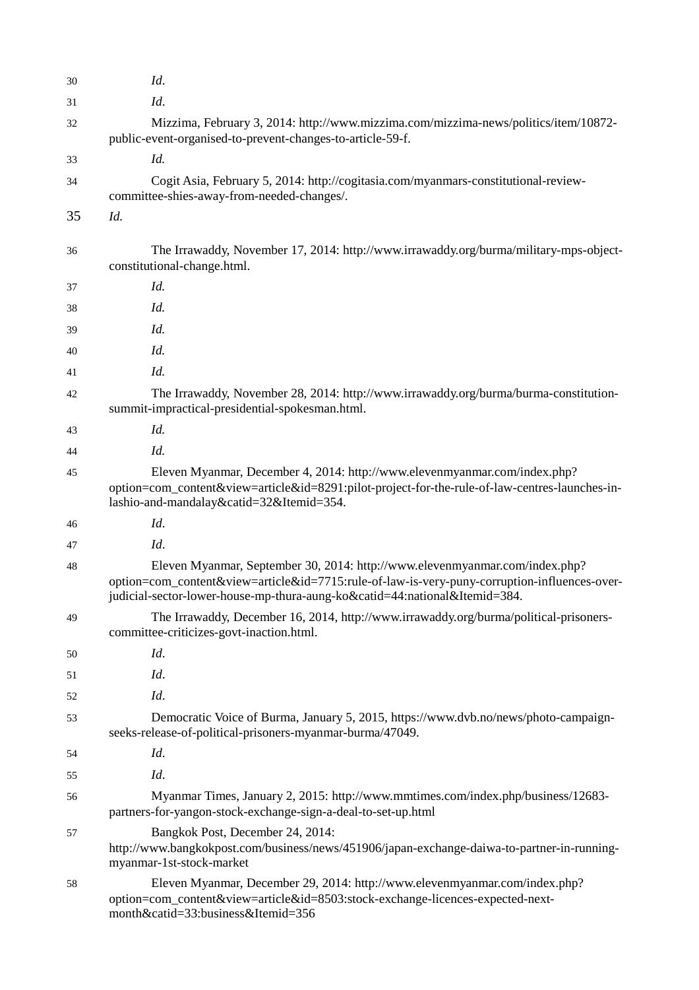| 30 | Id.                                                                                                                                                                                                                                                       |
|----|-----------------------------------------------------------------------------------------------------------------------------------------------------------------------------------------------------------------------------------------------------------|
| 31 | Id.                                                                                                                                                                                                                                                       |
| 32 | Mizzima, February 3, 2014: http://www.mizzima.com/mizzima-news/politics/item/10872-<br>public-event-organised-to-prevent-changes-to-article-59-f.                                                                                                         |
| 33 | Id.                                                                                                                                                                                                                                                       |
| 34 | Cogit Asia, February 5, 2014: http://cogitasia.com/myanmars-constitutional-review-<br>committee-shies-away-from-needed-changes/.                                                                                                                          |
| 35 | Id.                                                                                                                                                                                                                                                       |
| 36 | The Irrawaddy, November 17, 2014: http://www.irrawaddy.org/burma/military-mps-object-<br>constitutional-change.html.                                                                                                                                      |
| 37 | Id.                                                                                                                                                                                                                                                       |
| 38 | Id.                                                                                                                                                                                                                                                       |
| 39 | Id.                                                                                                                                                                                                                                                       |
| 40 | Id.                                                                                                                                                                                                                                                       |
| 41 | Id.                                                                                                                                                                                                                                                       |
| 42 | The Irrawaddy, November 28, 2014: http://www.irrawaddy.org/burma/burma-constitution-<br>summit-impractical-presidential-spokesman.html.                                                                                                                   |
| 43 | Id.                                                                                                                                                                                                                                                       |
| 44 | Id.                                                                                                                                                                                                                                                       |
| 45 | Eleven Myanmar, December 4, 2014: http://www.elevenmyanmar.com/index.php?<br>option=com_content&view=article&id=8291:pilot-project-for-the-rule-of-law-centres-launches-in-<br>lashio-and-mandalay&catid=32&Itemid=354.                                   |
| 46 | Id.                                                                                                                                                                                                                                                       |
| 47 | Id.                                                                                                                                                                                                                                                       |
| 48 | Eleven Myanmar, September 30, 2014: http://www.elevenmyanmar.com/index.php?<br>option=com_content&view=article&id=7715:rule-of-law-is-very-puny-corruption-influences-over-<br>judicial-sector-lower-house-mp-thura-aung-ko&catid=44:national&Itemid=384. |
| 49 | The Irrawaddy, December 16, 2014, http://www.irrawaddy.org/burma/political-prisoners-<br>committee-criticizes-govt-inaction.html.                                                                                                                         |
| 50 | Id.                                                                                                                                                                                                                                                       |
| 51 | Id.                                                                                                                                                                                                                                                       |
| 52 | Id.                                                                                                                                                                                                                                                       |
| 53 | Democratic Voice of Burma, January 5, 2015, https://www.dvb.no/news/photo-campaign-<br>seeks-release-of-political-prisoners-myanmar-burma/47049.                                                                                                          |
| 54 | Id.                                                                                                                                                                                                                                                       |
| 55 | Id.                                                                                                                                                                                                                                                       |
| 56 | Myanmar Times, January 2, 2015: http://www.mmtimes.com/index.php/business/12683-<br>partners-for-yangon-stock-exchange-sign-a-deal-to-set-up.html                                                                                                         |
| 57 | Bangkok Post, December 24, 2014:<br>http://www.bangkokpost.com/business/news/451906/japan-exchange-daiwa-to-partner-in-running-<br>myanmar-1st-stock-market                                                                                               |
| 58 | Eleven Myanmar, December 29, 2014: http://www.elevenmyanmar.com/index.php?<br>option=com_content&view=article&id=8503:stock-exchange-licences-expected-next-<br>month&catid=33:business&Itemid=356                                                        |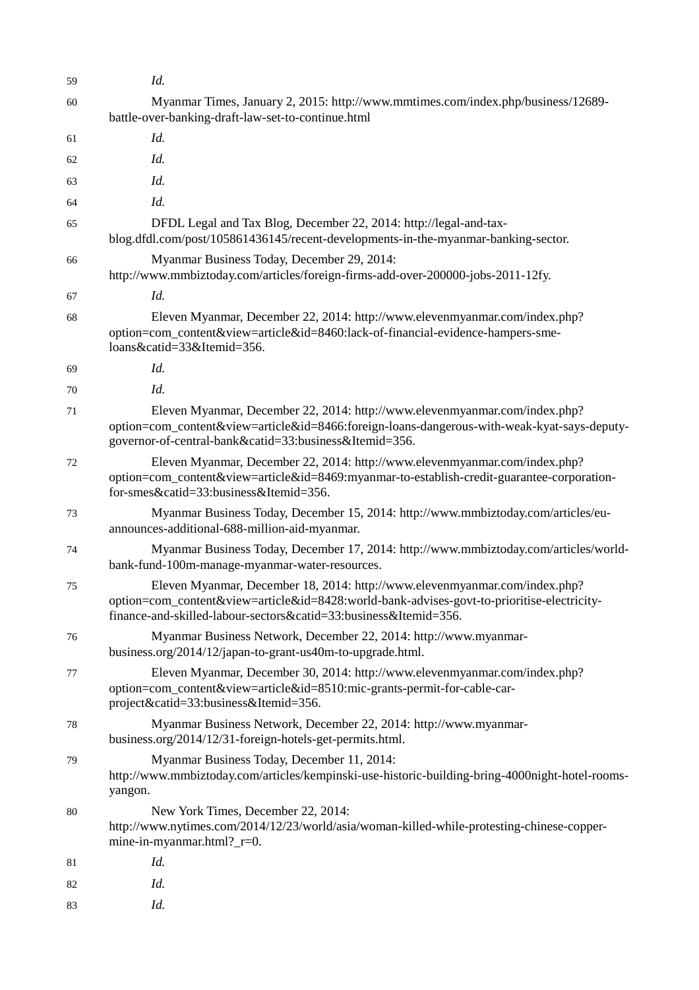| 59 | Id.                                                                                                                                                                                                                                          |
|----|----------------------------------------------------------------------------------------------------------------------------------------------------------------------------------------------------------------------------------------------|
| 60 | Myanmar Times, January 2, 2015: http://www.mmtimes.com/index.php/business/12689-<br>battle-over-banking-draft-law-set-to-continue.html                                                                                                       |
| 61 | Id.                                                                                                                                                                                                                                          |
| 62 | Id.                                                                                                                                                                                                                                          |
| 63 | Id.                                                                                                                                                                                                                                          |
| 64 | Id.                                                                                                                                                                                                                                          |
| 65 | DFDL Legal and Tax Blog, December 22, 2014: http://legal-and-tax-<br>blog.dfdl.com/post/105861436145/recent-developments-in-the-myanmar-banking-sector.                                                                                      |
| 66 | Myanmar Business Today, December 29, 2014:<br>http://www.mmbiztoday.com/articles/foreign-firms-add-over-200000-jobs-2011-12fy.                                                                                                               |
| 67 | Id.                                                                                                                                                                                                                                          |
| 68 | Eleven Myanmar, December 22, 2014: http://www.elevenmyanmar.com/index.php?<br>option=com_content&view=article&id=8460:lack-of-financial-evidence-hampers-sme-<br>loans&catid=33&Itemid=356.                                                  |
| 69 | Id.                                                                                                                                                                                                                                          |
| 70 | Id.                                                                                                                                                                                                                                          |
| 71 | Eleven Myanmar, December 22, 2014: http://www.elevenmyanmar.com/index.php?<br>option=com_content&view=article&id=8466:foreign-loans-dangerous-with-weak-kyat-says-deputy-<br>governor-of-central-bank&catid=33:business&Itemid=356.          |
| 72 | Eleven Myanmar, December 22, 2014: http://www.elevenmyanmar.com/index.php?<br>option=com_content&view=article&id=8469:myanmar-to-establish-credit-guarantee-corporation-<br>for-smes&catid=33:business&Itemid=356.                           |
| 73 | Myanmar Business Today, December 15, 2014: http://www.mmbiztoday.com/articles/eu-<br>announces-additional-688-million-aid-myanmar.                                                                                                           |
| 74 | Myanmar Business Today, December 17, 2014: http://www.mmbiztoday.com/articles/world-<br>bank-fund-100m-manage-myanmar-water-resources.                                                                                                       |
| 75 | Eleven Myanmar, December 18, 2014: http://www.elevenmyanmar.com/index.php?<br>option=com_content&view=article&id=8428:world-bank-advises-govt-to-prioritise-electricity-<br>finance-and-skilled-labour-sectors&catid=33:business&Itemid=356. |
| 76 | Myanmar Business Network, December 22, 2014: http://www.myanmar-<br>business.org/2014/12/japan-to-grant-us40m-to-upgrade.html.                                                                                                               |
| 77 | Eleven Myanmar, December 30, 2014: http://www.elevenmyanmar.com/index.php?<br>option=com_content&view=article&id=8510:mic-grants-permit-for-cable-car-<br>project&catid=33:business&Itemid=356.                                              |
| 78 | Myanmar Business Network, December 22, 2014: http://www.myanmar-<br>business.org/2014/12/31-foreign-hotels-get-permits.html.                                                                                                                 |
| 79 | Myanmar Business Today, December 11, 2014:<br>http://www.mmbiztoday.com/articles/kempinski-use-historic-building-bring-4000night-hotel-rooms-<br>yangon.                                                                                     |
| 80 | New York Times, December 22, 2014:<br>http://www.nytimes.com/2014/12/23/world/asia/woman-killed-while-protesting-chinese-copper-<br>mine-in-myanmar.html?_r=0.                                                                               |
| 81 | Id.                                                                                                                                                                                                                                          |
| 82 | Id.                                                                                                                                                                                                                                          |
| 83 | Id.                                                                                                                                                                                                                                          |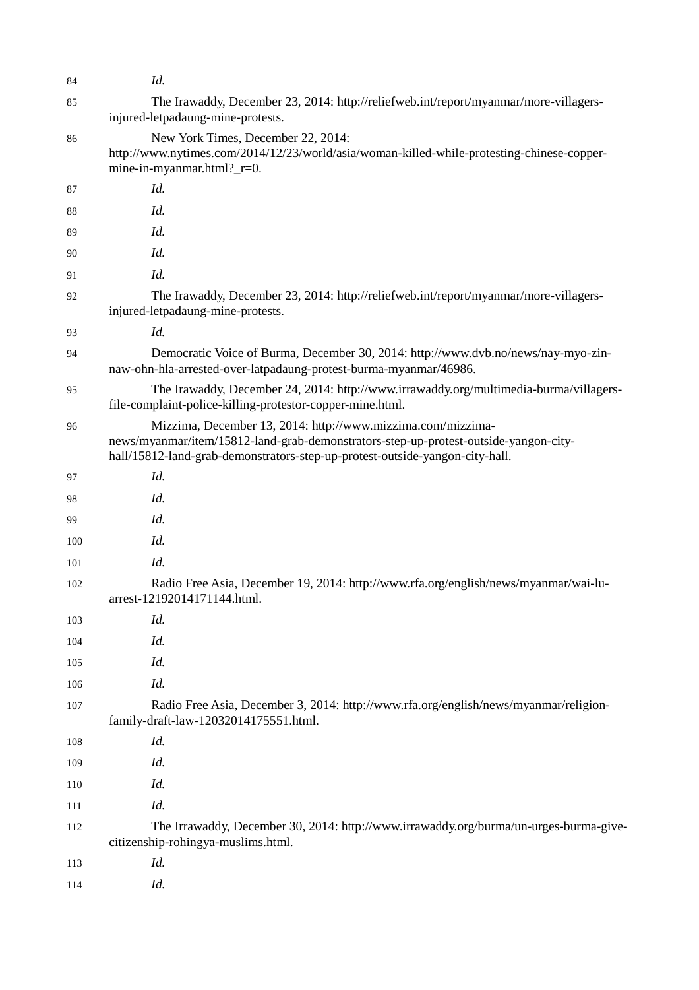| 84  | Id.                                                                                                                                                                                                                                 |
|-----|-------------------------------------------------------------------------------------------------------------------------------------------------------------------------------------------------------------------------------------|
| 85  | The Irawaddy, December 23, 2014: http://reliefweb.int/report/myanmar/more-villagers-<br>injured-letpadaung-mine-protests.                                                                                                           |
| 86  | New York Times, December 22, 2014:<br>http://www.nytimes.com/2014/12/23/world/asia/woman-killed-while-protesting-chinese-copper-<br>mine-in-myanmar.html?_r=0.                                                                      |
| 87  | Id.                                                                                                                                                                                                                                 |
| 88  | Id.                                                                                                                                                                                                                                 |
| 89  | Id.                                                                                                                                                                                                                                 |
| 90  | Id.                                                                                                                                                                                                                                 |
| 91  | Id.                                                                                                                                                                                                                                 |
| 92  | The Irawaddy, December 23, 2014: http://reliefweb.int/report/myanmar/more-villagers-<br>injured-letpadaung-mine-protests.                                                                                                           |
| 93  | Id.                                                                                                                                                                                                                                 |
| 94  | Democratic Voice of Burma, December 30, 2014: http://www.dvb.no/news/nay-myo-zin-<br>naw-ohn-hla-arrested-over-latpadaung-protest-burma-myanmar/46986.                                                                              |
| 95  | The Irawaddy, December 24, 2014: http://www.irrawaddy.org/multimedia-burma/villagers-<br>file-complaint-police-killing-protestor-copper-mine.html.                                                                                  |
| 96  | Mizzima, December 13, 2014: http://www.mizzima.com/mizzima-<br>news/myanmar/item/15812-land-grab-demonstrators-step-up-protest-outside-yangon-city-<br>hall/15812-land-grab-demonstrators-step-up-protest-outside-yangon-city-hall. |
| 97  | Id.                                                                                                                                                                                                                                 |
| 98  | Id.                                                                                                                                                                                                                                 |
| 99  | Id.                                                                                                                                                                                                                                 |
| 100 | Id.                                                                                                                                                                                                                                 |
| 101 | Id.                                                                                                                                                                                                                                 |
| 102 | Radio Free Asia, December 19, 2014: http://www.rfa.org/english/news/myanmar/wai-lu-<br>arrest-12192014171144.html.                                                                                                                  |
| 103 | Id.                                                                                                                                                                                                                                 |
| 104 | Id.                                                                                                                                                                                                                                 |
| 105 | Id.                                                                                                                                                                                                                                 |
| 106 | Id.                                                                                                                                                                                                                                 |
| 107 | Radio Free Asia, December 3, 2014: http://www.rfa.org/english/news/myanmar/religion-<br>family-draft-law-12032014175551.html.                                                                                                       |
| 108 | Id.                                                                                                                                                                                                                                 |
| 109 | Id.                                                                                                                                                                                                                                 |
| 110 | Id.                                                                                                                                                                                                                                 |
| 111 | Id.                                                                                                                                                                                                                                 |
| 112 | The Irrawaddy, December 30, 2014: http://www.irrawaddy.org/burma/un-urges-burma-give-<br>citizenship-rohingya-muslims.html.                                                                                                         |
| 113 | Id.                                                                                                                                                                                                                                 |
| 114 | Id.                                                                                                                                                                                                                                 |